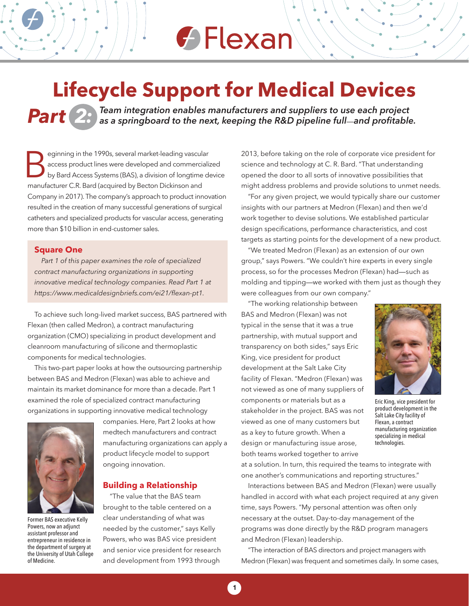# $\bigoplus$  Flexan

### **Lifecycle Support for Medical Devices**

*Par t 2: Team integration enables manufacturers and suppliers to use each project as a springboard to the next, keeping the R&D pipeline full*—*and profitable.*

Elemining in the 1990s, several market-leading vasculations access product lines were developed and commercial by Bard Access Systems (BAS), a division of longtime manufacturer C.R. Bard (acquired by Becton Dickinson and eginning in the 1990s, several market-leading vascular access product lines were developed and commercialized by Bard Access Systems (BAS), a division of longtime device Company in 2017). The company's approach to product innovation resulted in the creation of many successful generations of surgical catheters and specialized products for vascular access, generating more than \$10 billion in end-customer sales.

#### **Square One**

*Part 1 of this paper examines the role of specialized contract manufacturing organizations in supporting innovative medical technology companies. Read Part 1 at https://www.medicaldesignbriefs.com/ei21/flexan-pt1.* 

To achieve such long-lived market success, BAS partnered with Flexan (then called Medron), a contract manufacturing organization (CMO) specializing in product development and cleanroom manufacturing of silicone and thermoplastic components for medical technologies.

This two-part paper looks at how the outsourcing partnership between BAS and Medron (Flexan) was able to achieve and maintain its market dominance for more than a decade. Part 1 examined the role of specialized contract manufacturing organizations in supporting innovative medical technology



Former BAS executive Kelly Powers, now an adjunct assistant professor and entrepreneur in residence in the department of surgery at the University of Utah College of Medicine.

companies. Here, Part 2 looks at how medtech manufacturers and contract manufacturing organizations can apply a product lifecycle model to support ongoing innovation.

#### **Building a Relationship**

"The value that the BAS team brought to the table centered on a clear understanding of what was needed by the customer," says Kelly Powers, who was BAS vice president and senior vice president for research and development from 1993 through

2013, before taking on the role of corporate vice president for science and technology at C. R. Bard. "That understanding opened the door to all sorts of innovative possibilities that might address problems and provide solutions to unmet needs.

"For any given project, we would typically share our customer insights with our partners at Medron (Flexan) and then we'd work together to devise solutions. We established particular design specifications, performance characteristics, and cost targets as starting points for the development of a new product.

"We treated Medron (Flexan) as an extension of our own group," says Powers. "We couldn't hire experts in every single process, so for the processes Medron (Flexan) had—such as molding and tipping—we worked with them just as though they were colleagues from our own company."

"The working relationship between BAS and Medron (Flexan) was not typical in the sense that it was a true partnership, with mutual support and transparency on both sides," says Eric King, vice president for product development at the Salt Lake City facility of Flexan. "Medron (Flexan) was not viewed as one of many suppliers of components or materials but as a stakeholder in the project. BAS was not viewed as one of many customers but as a key to future growth. When a design or manufacturing issue arose, both teams worked together to arrive



Eric King, vice president for product development in the Salt Lake City facility of Flexan, a contract manufacturing organization specializing in medical technologies.

at a solution. In turn, this required the teams to integrate with one another's communications and reporting structures."

Interactions between BAS and Medron (Flexan) were usually handled in accord with what each project required at any given time, says Powers. "My personal attention was often only necessary at the outset. Day-to-day management of the programs was done directly by the R&D program managers and Medron (Flexan) leadership.

"The interaction of BAS directors and project managers with Medron (Flexan) was frequent and sometimes daily. In some cases,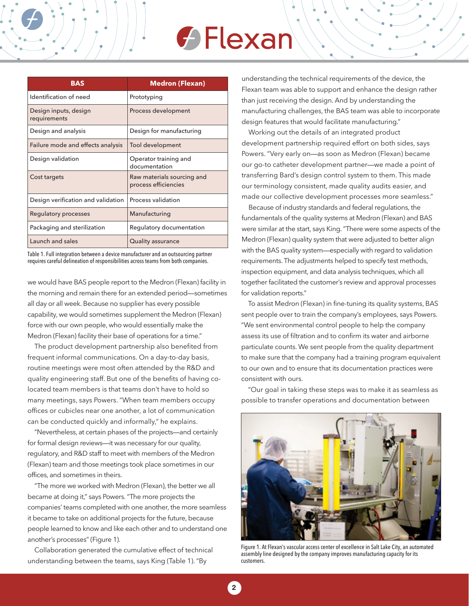# **G** Flexan

| <b>BAS</b>                            | <b>Medron (Flexan)</b>                             |
|---------------------------------------|----------------------------------------------------|
| Identification of need                | Prototyping                                        |
| Design inputs, design<br>requirements | Process development                                |
| Design and analysis                   | Design for manufacturing                           |
| Failure mode and effects analysis     | Tool development                                   |
| Design validation                     | Operator training and<br>documentation             |
| Cost targets                          | Raw materials sourcing and<br>process efficiencies |
| Design verification and validation    | Process validation                                 |
| <b>Regulatory processes</b>           | Manufacturing                                      |
| Packaging and sterilization           | Regulatory documentation                           |
| Launch and sales                      | Quality assurance                                  |

Table 1. Full integration between a device manufacturer and an outsourcing partner requires careful delineation of responsibilities across teams from both companies.

we would have BAS people report to the Medron (Flexan) facility in the morning and remain there for an extended period—sometimes all day or all week. Because no supplier has every possible capability, we would sometimes supplement the Medron (Flexan) force with our own people, who would essentially make the Medron (Flexan) facility their base of operations for a time."

The product development partnership also benefited from frequent informal communications. On a day-to-day basis, routine meetings were most often attended by the R&D and quality engineering staff. But one of the benefits of having colocated team members is that teams don't have to hold so many meetings, says Powers. "When team members occupy offices or cubicles near one another, a lot of communication can be conducted quickly and informally," he explains.

"Nevertheless, at certain phases of the projects—and certainly for formal design reviews—it was necessary for our quality, regulatory, and R&D staff to meet with members of the Medron (Flexan) team and those meetings took place sometimes in our offices, and sometimes in theirs.

"The more we worked with Medron (Flexan), the better we all became at doing it," says Powers. "The more projects the companies' teams completed with one another, the more seamless it became to take on additional projects for the future, because people learned to know and like each other and to understand one another's processes" (Figure 1).

Collaboration generated the cumulative effect of technical understanding between the teams, says King (Table 1). "By

understanding the technical requirements of the device, the Flexan team was able to support and enhance the design rather than just receiving the design. And by understanding the manufacturing challenges, the BAS team was able to incorporate design features that would facilitate manufacturing."

Working out the details of an integrated product development partnership required effort on both sides, says Powers. "Very early on—as soon as Medron (Flexan) became our go-to catheter development partner—we made a point of transferring Bard's design control system to them. This made our terminology consistent, made quality audits easier, and made our collective development processes more seamless."

Because of industry standards and federal regulations, the fundamentals of the quality systems at Medron (Flexan) and BAS were similar at the start, says King. "There were some aspects of the Medron (Flexan) quality system that were adjusted to better align with the BAS quality system—especially with regard to validation requirements. The adjustments helped to specify test methods, inspection equipment, and data analysis techniques, which all together facilitated the customer's review and approval processes for validation reports."

To assist Medron (Flexan) in fine-tuning its quality systems, BAS sent people over to train the company's employees, says Powers. "We sent environmental control people to help the company assess its use of filtration and to confirm its water and airborne particulate counts. We sent people from the quality department to make sure that the company had a training program equivalent to our own and to ensure that its documentation practices were consistent with ours.

"Our goal in taking these steps was to make it as seamless as possible to transfer operations and documentation between



Figure 1. At Flexan's vascular access center of excellence in Salt Lake City, an automated assembly line designed by the company improves manufacturing capacity for its customers.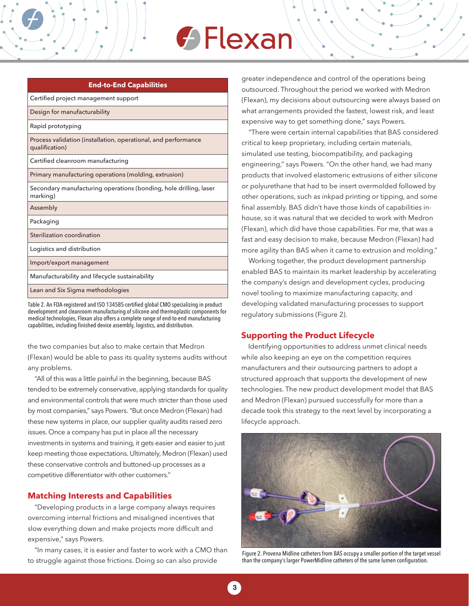# **← Flexan**

| End to End capabilities                                                          |
|----------------------------------------------------------------------------------|
| Certified project management support                                             |
| Design for manufacturability                                                     |
| Rapid prototyping                                                                |
| Process validation (installation, operational, and performance<br>qualification) |
| Certified cleanroom manufacturing                                                |
| Primary manufacturing operations (molding, extrusion)                            |
| Secondary manufacturing operations (bonding, hole drilling, laser<br>marking)    |
| Assembly                                                                         |
| Packaging                                                                        |
| Sterilization coordination                                                       |
| Logistics and distribution                                                       |
| Import/export management                                                         |
| Manufacturability and lifecycle sustainability                                   |
| Lean and Six Sigma methodologies                                                 |

**End-to-End Capabilities**

Table 2. An FDA-registered and ISO 134585-certified global CMO specializing in product development and cleanroom manufacturing of silicone and thermoplastic components for medical technologies, Flexan also offers a complete range of end-to-end manufacturing capabilities, including finished device assembly, logistics, and distribution.

the two companies but also to make certain that Medron (Flexan) would be able to pass its quality systems audits without any problems.

"All of this was a little painful in the beginning, because BAS tended to be extremely conservative, applying standards for quality and environmental controls that were much stricter than those used by most companies," says Powers. "But once Medron (Flexan) had these new systems in place, our supplier quality audits raised zero issues. Once a company has put in place all the necessary investments in systems and training, it gets easier and easier to just keep meeting those expectations. Ultimately, Medron (Flexan) used these conservative controls and buttoned-up processes as a competitive differentiator with other customers."

### **Matching Interests and Capabilities**

"Developing products in a large company always requires overcoming internal frictions and misaligned incentives that slow everything down and make projects more difficult and expensive," says Powers.

"In many cases, it is easier and faster to work with a CMO than to struggle against those frictions. Doing so can also provide

greater independence and control of the operations being outsourced. Throughout the period we worked with Medron (Flexan), my decisions about outsourcing were always based on what arrangements provided the fastest, lowest risk, and least expensive way to get something done," says Powers.

"There were certain internal capabilities that BAS considered critical to keep proprietary, including certain materials, simulated use testing, biocompatibility, and packaging engineering," says Powers. "On the other hand, we had many products that involved elastomeric extrusions of either silicone or polyurethane that had to be insert overmolded followed by other operations, such as inkpad printing or tipping, and some final assembly. BAS didn't have those kinds of capabilities inhouse, so it was natural that we decided to work with Medron (Flexan), which did have those capabilities. For me, that was a fast and easy decision to make, because Medron (Flexan) had more agility than BAS when it came to extrusion and molding."

Working together, the product development partnership enabled BAS to maintain its market leadership by accelerating the company's design and development cycles, producing novel tooling to maximize manufacturing capacity, and developing validated manufacturing processes to support regulatory submissions (Figure 2).

### **Supporting the Product Lifecycle**

Identifying opportunities to address unmet clinical needs while also keeping an eye on the competition requires manufacturers and their outsourcing partners to adopt a structured approach that supports the development of new technologies. The new product development model that BAS and Medron (Flexan) pursued successfully for more than a decade took this strategy to the next level by incorporating a lifecycle approach.



Figure 2. Provena Midline catheters from BAS occupy a smaller portion of the target vessel than the company's larger PowerMidline catheters of the same lumen configuration.